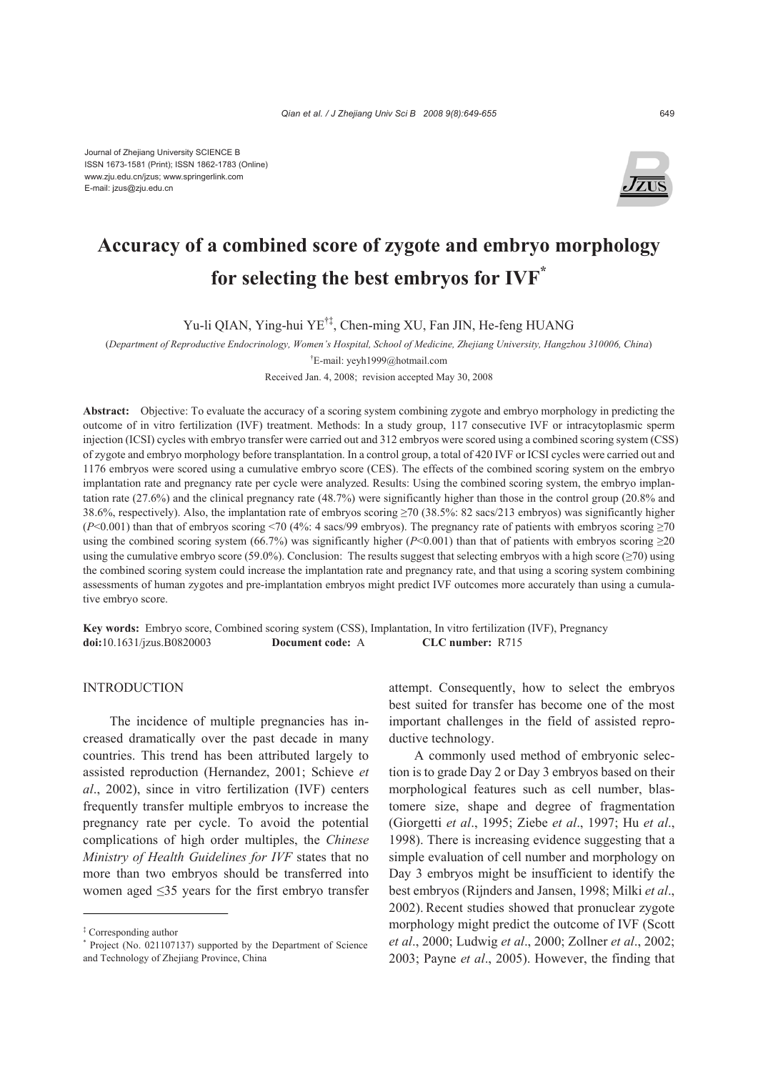Journal of Zhejiang University SCIENCE B ISSN 1673-1581 (Print); ISSN 1862-1783 (Online) www.zju.edu.cn/jzus; www.springerlink.com E-mail: jzus@zju.edu.cn



# **Accuracy of a combined score of zygote and embryo morphology for selecting the best embryos for IVF\***

Yu-li QIAN, Ying-hui YE†‡, Chen-ming XU, Fan JIN, He-feng HUANG

(*Department of Reproductive Endocrinology, Women's Hospital, School of Medicine, Zhejiang University, Hangzhou 310006, China*)

† E-mail: yeyh1999@hotmail.com

Received Jan. 4, 2008; revision accepted May 30, 2008

**Abstract:** Objective: To evaluate the accuracy of a scoring system combining zygote and embryo morphology in predicting the outcome of in vitro fertilization (IVF) treatment. Methods: In a study group, 117 consecutive IVF or intracytoplasmic sperm injection (ICSI) cycles with embryo transfer were carried out and 312 embryos were scored using a combined scoring system (CSS) of zygote and embryo morphology before transplantation. In a control group, a total of 420 IVF or ICSI cycles were carried out and 1176 embryos were scored using a cumulative embryo score (CES). The effects of the combined scoring system on the embryo implantation rate and pregnancy rate per cycle were analyzed. Results: Using the combined scoring system, the embryo implantation rate (27.6%) and the clinical pregnancy rate (48.7%) were significantly higher than those in the control group (20.8% and 38.6%, respectively). Also, the implantation rate of embryos scoring ≥70 (38.5%: 82 sacs/213 embryos) was significantly higher  $(P< 0.001)$  than that of embryos scoring <70 (4%: 4 sacs/99 embryos). The pregnancy rate of patients with embryos scoring ≥70 using the combined scoring system (66.7%) was significantly higher ( $P<0.001$ ) than that of patients with embryos scoring  $\geq$ 20 using the cumulative embryo score (59.0%). Conclusion: The results suggest that selecting embryos with a high score ( $\geq$ 70) using the combined scoring system could increase the implantation rate and pregnancy rate, and that using a scoring system combining assessments of human zygotes and pre-implantation embryos might predict IVF outcomes more accurately than using a cumulative embryo score.

**Key words:** Embryo score, Combined scoring system (CSS), Implantation, In vitro fertilization (IVF), Pregnancy **doi:**10.1631/jzus.B0820003 **Document code:** A **CLC number:** R715

## INTRODUCTION

The incidence of multiple pregnancies has increased dramatically over the past decade in many countries. This trend has been attributed largely to assisted reproduction (Hernandez, 2001; Schieve *et al*., 2002), since in vitro fertilization (IVF) centers frequently transfer multiple embryos to increase the pregnancy rate per cycle. To avoid the potential complications of high order multiples, the *Chinese Ministry of Health Guidelines for IVF* states that no more than two embryos should be transferred into women aged ≤35 years for the first embryo transfer attempt. Consequently, how to select the embryos best suited for transfer has become one of the most important challenges in the field of assisted reproductive technology.

A commonly used method of embryonic selection is to grade Day 2 or Day 3 embryos based on their morphological features such as cell number, blastomere size, shape and degree of fragmentation (Giorgetti *et al*., 1995; Ziebe *et al*., 1997; Hu *et al*., 1998). There is increasing evidence suggesting that a simple evaluation of cell number and morphology on Day 3 embryos might be insufficient to identify the best embryos (Rijnders and Jansen, 1998; Milki *et al*., 2002). Recent studies showed that pronuclear zygote morphology might predict the outcome of IVF (Scott *et al*., 2000; Ludwig *et al*., 2000; Zollner *et al*., 2002; 2003; Payne *et al*., 2005). However, the finding that

<sup>‡</sup> Corresponding author

<sup>\*</sup> Project (No. 021107137) supported by the Department of Science and Technology of Zhejiang Province, China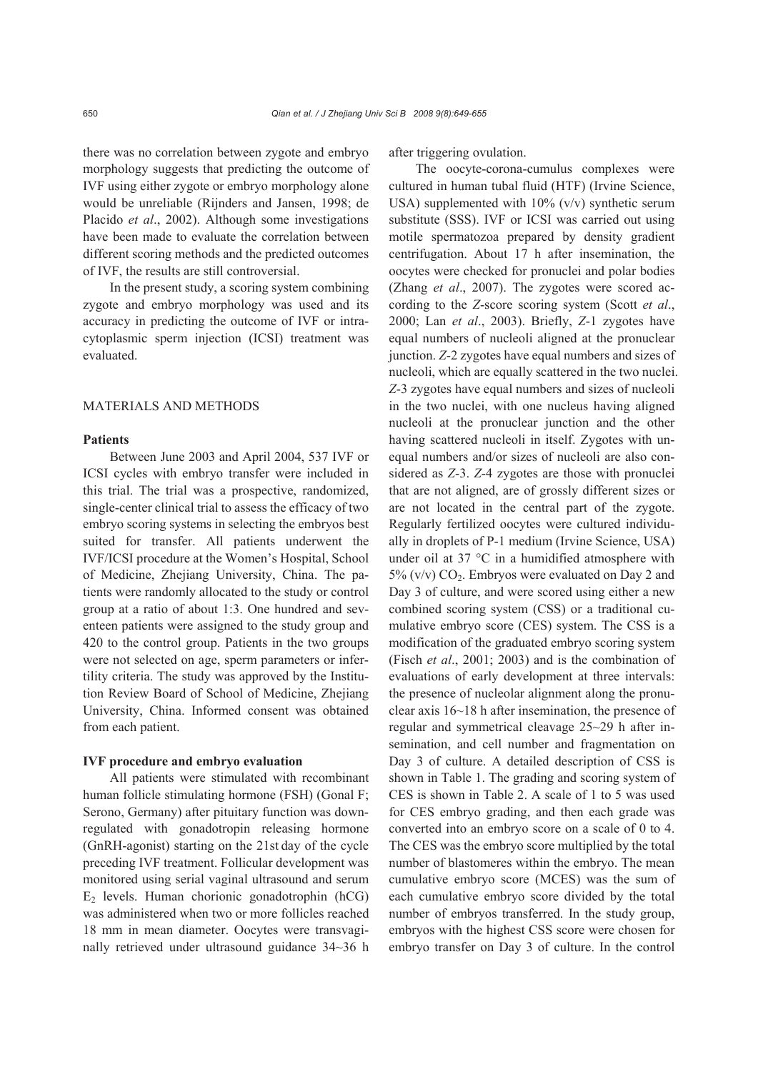there was no correlation between zygote and embryo morphology suggests that predicting the outcome of IVF using either zygote or embryo morphology alone would be unreliable (Rijnders and Jansen, 1998; de Placido *et al*., 2002). Although some investigations have been made to evaluate the correlation between different scoring methods and the predicted outcomes of IVF, the results are still controversial.

In the present study, a scoring system combining zygote and embryo morphology was used and its accuracy in predicting the outcome of IVF or intracytoplasmic sperm injection (ICSI) treatment was evaluated.

#### MATERIALS AND METHODS

## **Patients**

Between June 2003 and April 2004, 537 IVF or ICSI cycles with embryo transfer were included in this trial. The trial was a prospective, randomized, single-center clinical trial to assess the efficacy of two embryo scoring systems in selecting the embryos best suited for transfer. All patients underwent the IVF/ICSI procedure at the Women's Hospital, School of Medicine, Zhejiang University, China. The patients were randomly allocated to the study or control group at a ratio of about 1:3. One hundred and seventeen patients were assigned to the study group and 420 to the control group. Patients in the two groups were not selected on age, sperm parameters or infertility criteria. The study was approved by the Institution Review Board of School of Medicine, Zhejiang University, China. Informed consent was obtained from each patient.

# **IVF procedure and embryo evaluation**

All patients were stimulated with recombinant human follicle stimulating hormone (FSH) (Gonal F; Serono, Germany) after pituitary function was downregulated with gonadotropin releasing hormone (GnRH-agonist) starting on the 21st day of the cycle preceding IVF treatment. Follicular development was monitored using serial vaginal ultrasound and serum  $E<sub>2</sub>$  levels. Human chorionic gonadotrophin (hCG) was administered when two or more follicles reached 18 mm in mean diameter. Oocytes were transvaginally retrieved under ultrasound guidance 34~36 h

after triggering ovulation.

The oocyte-corona-cumulus complexes were cultured in human tubal fluid (HTF) (Irvine Science, USA) supplemented with  $10\%$  (v/v) synthetic serum substitute (SSS). IVF or ICSI was carried out using motile spermatozoa prepared by density gradient centrifugation. About 17 h after insemination, the oocytes were checked for pronuclei and polar bodies (Zhang *et al*., 2007). The zygotes were scored according to the *Z*-score scoring system (Scott *et al*., 2000; Lan *et al*., 2003). Briefly, *Z*-1 zygotes have equal numbers of nucleoli aligned at the pronuclear junction. *Z*-2 zygotes have equal numbers and sizes of nucleoli, which are equally scattered in the two nuclei. *Z*-3 zygotes have equal numbers and sizes of nucleoli in the two nuclei, with one nucleus having aligned nucleoli at the pronuclear junction and the other having scattered nucleoli in itself. Zygotes with unequal numbers and/or sizes of nucleoli are also considered as *Z*-3. *Z*-4 zygotes are those with pronuclei that are not aligned, are of grossly different sizes or are not located in the central part of the zygote. Regularly fertilized oocytes were cultured individually in droplets of P-1 medium (Irvine Science, USA) under oil at 37 °C in a humidified atmosphere with  $5\%$  (v/v)  $CO<sub>2</sub>$ . Embryos were evaluated on Day 2 and Day 3 of culture, and were scored using either a new combined scoring system (CSS) or a traditional cumulative embryo score (CES) system. The CSS is a modification of the graduated embryo scoring system (Fisch *et al*., 2001; 2003) and is the combination of evaluations of early development at three intervals: the presence of nucleolar alignment along the pronuclear axis 16~18 h after insemination, the presence of regular and symmetrical cleavage 25~29 h after insemination, and cell number and fragmentation on Day 3 of culture. A detailed description of CSS is shown in Table 1. The grading and scoring system of CES is shown in Table 2. A scale of 1 to 5 was used for CES embryo grading, and then each grade was converted into an embryo score on a scale of 0 to 4. The CES was the embryo score multiplied by the total number of blastomeres within the embryo. The mean cumulative embryo score (MCES) was the sum of each cumulative embryo score divided by the total number of embryos transferred. In the study group, embryos with the highest CSS score were chosen for embryo transfer on Day 3 of culture. In the control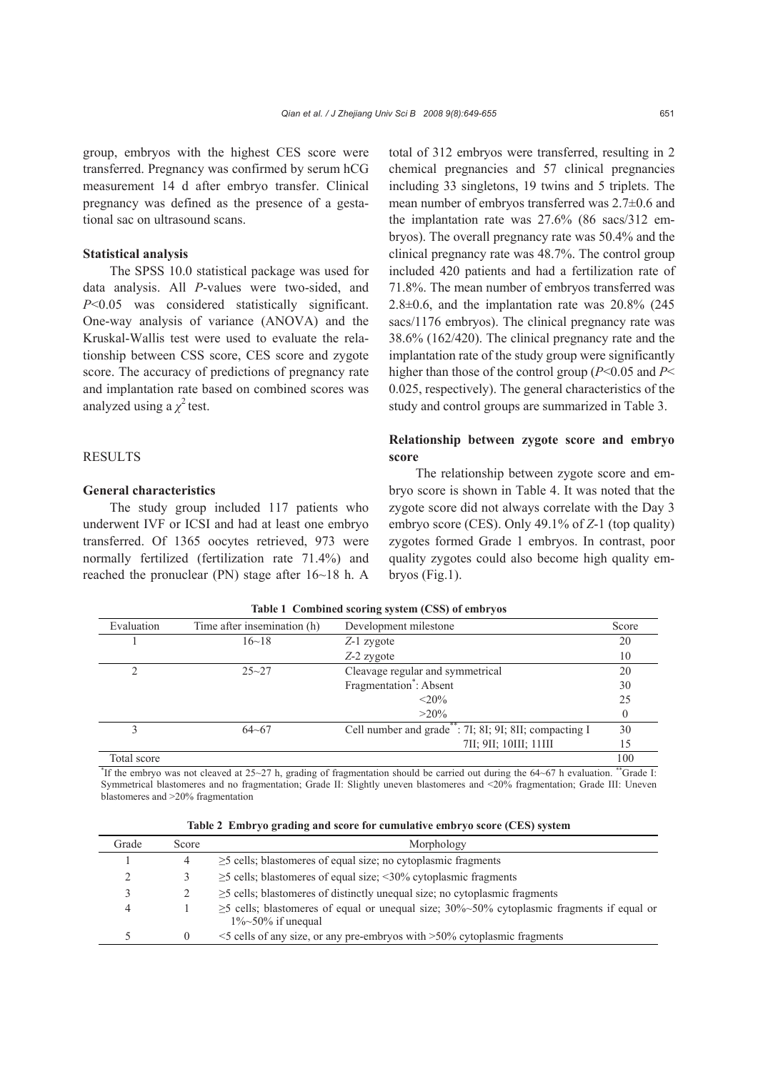group, embryos with the highest CES score were transferred. Pregnancy was confirmed by serum hCG measurement 14 d after embryo transfer. Clinical pregnancy was defined as the presence of a gestational sac on ultrasound scans.

# **Statistical analysis**

The SPSS 10.0 statistical package was used for data analysis. All *P*-values were two-sided, and *P*<0.05 was considered statistically significant. One-way analysis of variance (ANOVA) and the Kruskal-Wallis test were used to evaluate the relationship between CSS score, CES score and zygote score. The accuracy of predictions of pregnancy rate and implantation rate based on combined scores was analyzed using a  $\chi^2$  test.

## **RESULTS**

## **General characteristics**

The study group included 117 patients who underwent IVF or ICSI and had at least one embryo transferred. Of 1365 oocytes retrieved, 973 were normally fertilized (fertilization rate 71.4%) and reached the pronuclear (PN) stage after 16~18 h. A

total of 312 embryos were transferred, resulting in 2 chemical pregnancies and 57 clinical pregnancies including 33 singletons, 19 twins and 5 triplets. The mean number of embryos transferred was 2.7±0.6 and the implantation rate was 27.6% (86 sacs/312 embryos). The overall pregnancy rate was 50.4% and the clinical pregnancy rate was 48.7%. The control group included 420 patients and had a fertilization rate of 71.8%. The mean number of embryos transferred was  $2.8\pm0.6$ , and the implantation rate was  $20.8\%$  (245) sacs/1176 embryos). The clinical pregnancy rate was 38.6% (162/420). The clinical pregnancy rate and the implantation rate of the study group were significantly higher than those of the control group (*P*<0.05 and *P*< 0.025, respectively). The general characteristics of the study and control groups are summarized in Table 3.

# **Relationship between zygote score and embryo score**

The relationship between zygote score and embryo score is shown in Table 4. It was noted that the zygote score did not always correlate with the Day 3 embryo score (CES). Only 49.1% of *Z*-1 (top quality) zygotes formed Grade 1 embryos. In contrast, poor quality zygotes could also become high quality embryos (Fig.1).

| Evaluation  | Time after insemination (h) | Development milestone                                  | Score          |
|-------------|-----------------------------|--------------------------------------------------------|----------------|
|             | 16~18                       | $Z-1$ zygote                                           | 20             |
|             |                             | Z-2 zygote                                             | 10             |
| ↑           | $25 - 27$                   | Cleavage regular and symmetrical                       | 20             |
|             |                             | Fragmentation <sup>*</sup> : Absent                    | 30             |
|             |                             | $<$ 20%                                                | 25             |
|             |                             | $>20\%$                                                | $\overline{0}$ |
| 3           | $64 - 67$                   | Cell number and grade**: 7I; 8I; 9I; 8II; compacting I | 30             |
|             |                             | 7II; 9II; 10III; 11III                                 | 15             |
| Total score |                             |                                                        | 100            |

**Table 1 Combined scoring system (CSS) of embryos** 

<sup>\*</sup>If the embryo was not cleaved at 25~27 h, grading of fragmentation should be carried out during the 64~67 h evaluation. \*\*Grade I: Symmetrical blastomeres and no fragmentation; Grade II: Slightly uneven blastomeres and <20% fragmentation; Grade III: Uneven blastomeres and >20% fragmentation

|  |  |  |  |  |  | Table 2 Embryo grading and score for cumulative embryo score (CES) system |  |
|--|--|--|--|--|--|---------------------------------------------------------------------------|--|
|--|--|--|--|--|--|---------------------------------------------------------------------------|--|

| Grade | Score    | Morphology                                                                                                                    |
|-------|----------|-------------------------------------------------------------------------------------------------------------------------------|
|       |          | $\geq$ 5 cells; blastomeres of equal size; no cytoplasmic fragments                                                           |
|       |          | $\geq$ 5 cells; blastomeres of equal size; <30% cytoplasmic fragments                                                         |
|       |          | $\geq$ 5 cells; blastomeres of distinctly unequal size; no cytoplasmic fragments                                              |
|       |          | $\geq$ 5 cells; blastomeres of equal or unequal size; 30%~50% cytoplasmic fragments if equal or<br>$1\% \sim 50\%$ if unequal |
|       | $\theta$ | $\le$ 5 cells of any size, or any pre-embryos with $>$ 50% cytoplasmic fragments                                              |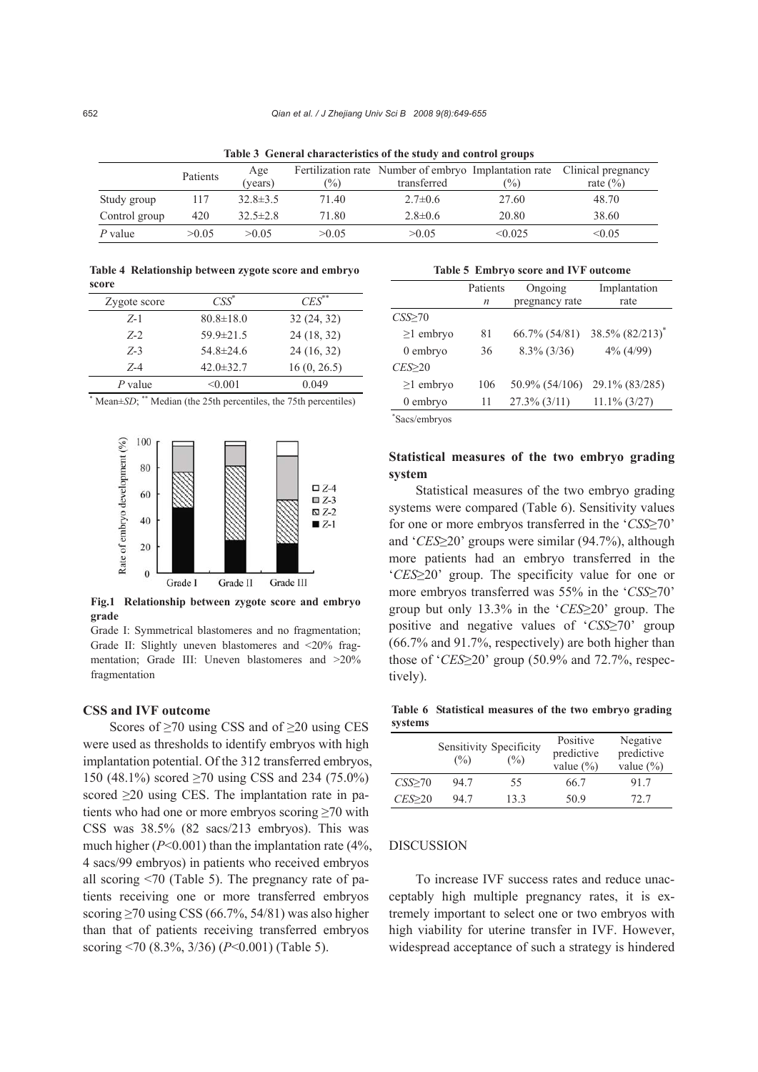| Table & Achel al characteristics of the study and control groups |          |                |       |                                                                      |               |                                    |
|------------------------------------------------------------------|----------|----------------|-------|----------------------------------------------------------------------|---------------|------------------------------------|
|                                                                  | Patients | Age<br>(vears) | $\%$  | Fertilization rate Number of embryo Implantation rate<br>transferred | $\frac{9}{6}$ | Clinical pregnancy<br>rate $(\% )$ |
| Study group                                                      | 117      | $32.8 \pm 3.5$ | 71.40 | $2.7\pm 0.6$                                                         | 27.60         | 48.70                              |
| Control group                                                    | 420      | $32.5 \pm 2.8$ | 71.80 | $2.8 \pm 0.6$                                                        | 20.80         | 38.60                              |
| P value                                                          | >0.05    | >0.05          | >0.05 | >0.05                                                                | < 0.025       | < 0.05                             |

**Table 3 General characteristics of the study and control groups**

**Table 4 Relationship between zygote score and embryo score** 

| Zygote score | $\text{CSS}^*$  | $CES^{**}$  |
|--------------|-----------------|-------------|
| $Z-1$        | $80.8 \pm 18.0$ | 32(24, 32)  |
| $Z - 2$      | $59.9 \pm 21.5$ | 24 (18, 32) |
| $Z-3$        | $54.8 \pm 24.6$ | 24(16, 32)  |
| $Z - 4$      | $42.0 \pm 32.7$ | 16(0, 26.5) |
| P value      | < 0.001         | 0.049       |

\* Mean±*SD*; \*\* Median (the 25th percentiles, the 75th percentiles)



**Fig.1 Relationship between zygote score and embryo grade** 

Grade I: Symmetrical blastomeres and no fragmentation; Grade II: Slightly uneven blastomeres and <20% fragmentation; Grade III: Uneven blastomeres and >20% fragmentation

#### **CSS and IVF outcome**

Scores of  $\geq$ 70 using CSS and of  $\geq$ 20 using CES were used as thresholds to identify embryos with high implantation potential. Of the 312 transferred embryos, 150 (48.1%) scored ≥70 using CSS and 234 (75.0%) scored  $\geq$ 20 using CES. The implantation rate in patients who had one or more embryos scoring ≥70 with CSS was 38.5% (82 sacs/213 embryos). This was much higher ( $P \le 0.001$ ) than the implantation rate ( $4\%$ , 4 sacs/99 embryos) in patients who received embryos all scoring <70 (Table 5). The pregnancy rate of patients receiving one or more transferred embryos scoring  $\geq$ 70 using CSS (66.7%, 54/81) was also higher than that of patients receiving transferred embryos scoring <70 (8.3%, 3/36) (*P*<0.001) (Table 5).

#### **Table 5 Embryo score and IVF outcome**

|                 | Patients | Ongoing         | Implantation        |
|-----------------|----------|-----------------|---------------------|
|                 | n        | pregnancy rate  | rate                |
| $CSS\geq 70$    |          |                 |                     |
| $\geq$ 1 embryo | 81       | 66.7% (54/81)   | $38.5\% (82/213)^*$ |
| $0$ embryo      | 36       | $8.3\%$ (3/36)  | 4% (4/99)           |
| $CES \geq 20$   |          |                 |                     |
| $\geq$ 1 embryo | 106      | 50.9% (54/106)  | 29.1% (83/285)      |
| $0$ embryo      | 11       | $27.3\%$ (3/11) | $11.1\% (3/27)$     |
|                 |          |                 |                     |

\* Sacs/embryos

# **Statistical measures of the two embryo grading system**

Statistical measures of the two embryo grading systems were compared (Table 6). Sensitivity values for one or more embryos transferred in the '*CSS*≥70' and '*CES*≥20' groups were similar (94.7%), although more patients had an embryo transferred in the '*CES*≥20' group. The specificity value for one or more embryos transferred was 55% in the '*CSS*≥70' group but only 13.3% in the '*CES*≥20' group. The positive and negative values of '*CSS*≥70' group (66.7% and 91.7%, respectively) are both higher than those of '*CES*≥20' group (50.9% and 72.7%, respectively).

**Table 6 Statistical measures of the two embryo grading systems**

|        | $\frac{9}{6}$ | Sensitivity Specificity<br>$\frac{9}{6}$ | Positive<br>predictive<br>value $(\% )$ | Negative<br>predictive<br>value $(\% )$ |
|--------|---------------|------------------------------------------|-----------------------------------------|-----------------------------------------|
| CSS>70 | 947           | 55                                       | 66.7                                    | 91.7                                    |
| CES>20 | 947           | 133                                      | 50.9                                    | 72.7                                    |

#### DISCUSSION

To increase IVF success rates and reduce unacceptably high multiple pregnancy rates, it is extremely important to select one or two embryos with high viability for uterine transfer in IVF. However, widespread acceptance of such a strategy is hindered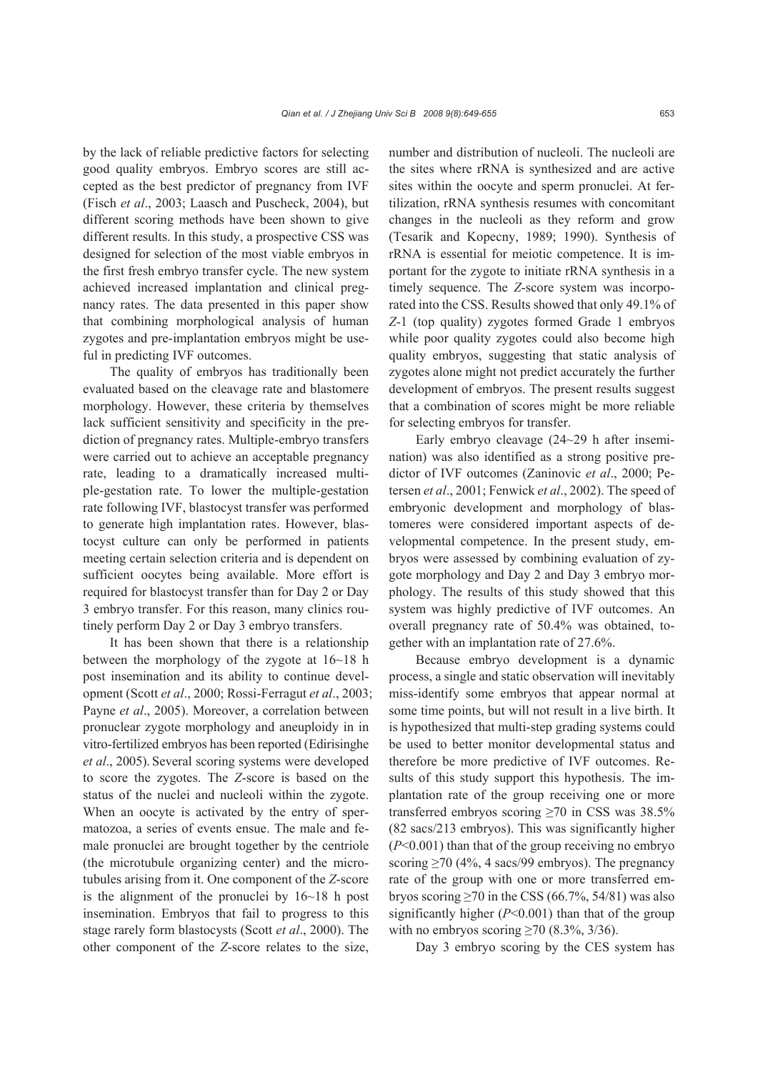by the lack of reliable predictive factors for selecting good quality embryos. Embryo scores are still accepted as the best predictor of pregnancy from IVF (Fisch *et al*., 2003; Laasch and Puscheck, 2004), but different scoring methods have been shown to give different results. In this study, a prospective CSS was designed for selection of the most viable embryos in the first fresh embryo transfer cycle. The new system achieved increased implantation and clinical pregnancy rates. The data presented in this paper show that combining morphological analysis of human zygotes and pre-implantation embryos might be useful in predicting IVF outcomes.

The quality of embryos has traditionally been evaluated based on the cleavage rate and blastomere morphology. However, these criteria by themselves lack sufficient sensitivity and specificity in the prediction of pregnancy rates. Multiple-embryo transfers were carried out to achieve an acceptable pregnancy rate, leading to a dramatically increased multiple-gestation rate. To lower the multiple-gestation rate following IVF, blastocyst transfer was performed to generate high implantation rates. However, blastocyst culture can only be performed in patients meeting certain selection criteria and is dependent on sufficient oocytes being available. More effort is required for blastocyst transfer than for Day 2 or Day 3 embryo transfer. For this reason, many clinics routinely perform Day 2 or Day 3 embryo transfers.

It has been shown that there is a relationship between the morphology of the zygote at 16~18 h post insemination and its ability to continue development (Scott *et al*., 2000; Rossi-Ferragut *et al*., 2003; Payne *et al*., 2005). Moreover, a correlation between pronuclear zygote morphology and aneuploidy in in vitro-fertilized embryos has been reported (Edirisinghe *et al*., 2005). Several scoring systems were developed to score the zygotes. The *Z*-score is based on the status of the nuclei and nucleoli within the zygote. When an oocyte is activated by the entry of spermatozoa, a series of events ensue. The male and female pronuclei are brought together by the centriole (the microtubule organizing center) and the microtubules arising from it. One component of the *Z*-score is the alignment of the pronuclei by 16~18 h post insemination. Embryos that fail to progress to this stage rarely form blastocysts (Scott *et al*., 2000). The other component of the *Z*-score relates to the size,

number and distribution of nucleoli. The nucleoli are the sites where rRNA is synthesized and are active sites within the oocyte and sperm pronuclei. At fertilization, rRNA synthesis resumes with concomitant changes in the nucleoli as they reform and grow (Tesarik and Kopecny, 1989; 1990). Synthesis of rRNA is essential for meiotic competence. It is important for the zygote to initiate rRNA synthesis in a timely sequence. The *Z*-score system was incorporated into the CSS. Results showed that only 49.1% of *Z*-1 (top quality) zygotes formed Grade 1 embryos while poor quality zygotes could also become high quality embryos, suggesting that static analysis of zygotes alone might not predict accurately the further development of embryos. The present results suggest that a combination of scores might be more reliable for selecting embryos for transfer.

Early embryo cleavage (24~29 h after insemination) was also identified as a strong positive predictor of IVF outcomes (Zaninovic *et al*., 2000; Petersen *et al*., 2001; Fenwick *et al*., 2002). The speed of embryonic development and morphology of blastomeres were considered important aspects of developmental competence. In the present study, embryos were assessed by combining evaluation of zygote morphology and Day 2 and Day 3 embryo morphology. The results of this study showed that this system was highly predictive of IVF outcomes. An overall pregnancy rate of 50.4% was obtained, together with an implantation rate of 27.6%.

Because embryo development is a dynamic process, a single and static observation will inevitably miss-identify some embryos that appear normal at some time points, but will not result in a live birth. It is hypothesized that multi-step grading systems could be used to better monitor developmental status and therefore be more predictive of IVF outcomes. Results of this study support this hypothesis. The implantation rate of the group receiving one or more transferred embryos scoring  $\geq 70$  in CSS was 38.5% (82 sacs/213 embryos). This was significantly higher (*P*<0.001) than that of the group receiving no embryo scoring ≥70 (4%, 4 sacs/99 embryos). The pregnancy rate of the group with one or more transferred embryos scoring  $\geq$ 70 in the CSS (66.7%, 54/81) was also significantly higher  $(P<0.001)$  than that of the group with no embryos scoring  $\geq$  70 (8.3%, 3/36).

Day 3 embryo scoring by the CES system has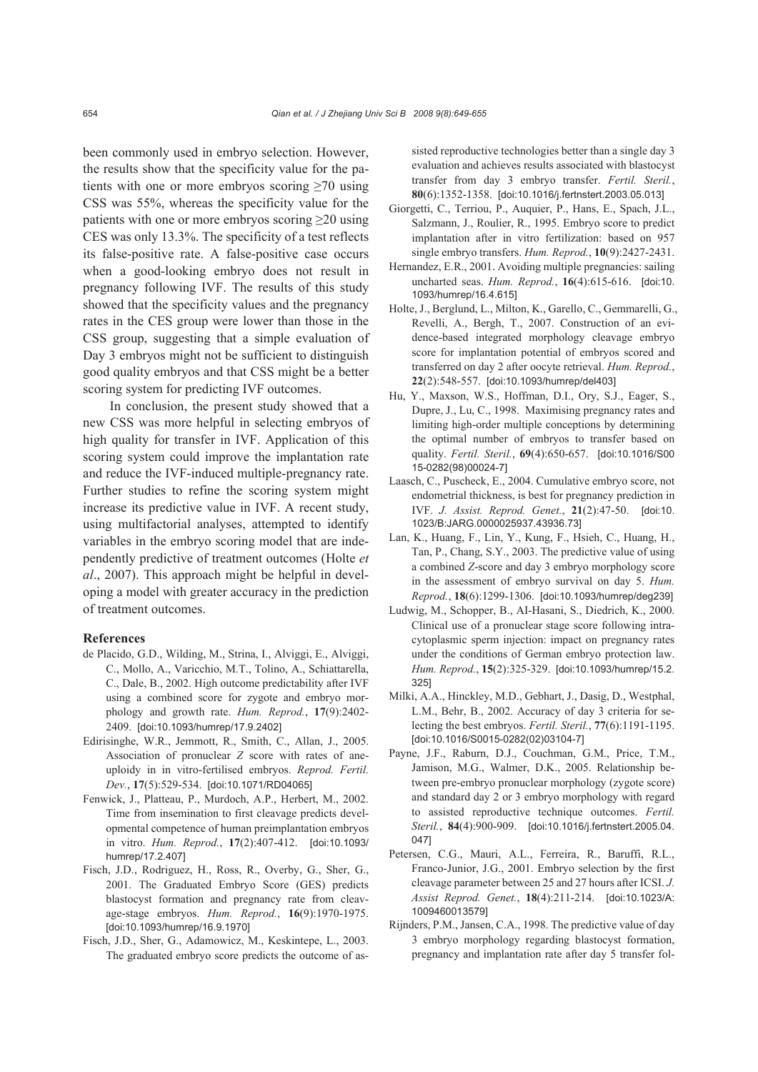been commonly used in embryo selection. However, the results show that the specificity value for the patients with one or more embryos scoring  $\geq 70$  using CSS was 55%, whereas the specificity value for the patients with one or more embryos scoring ≥20 using CES was only 13.3%. The specificity of a test reflects its false-positive rate. A false-positive case occurs when a good-looking embryo does not result in pregnancy following IVF. The results of this study showed that the specificity values and the pregnancy rates in the CES group were lower than those in the CSS group, suggesting that a simple evaluation of Day 3 embryos might not be sufficient to distinguish good quality embryos and that CSS might be a better scoring system for predicting IVF outcomes.

In conclusion, the present study showed that a new CSS was more helpful in selecting embryos of high quality for transfer in IVF. Application of this scoring system could improve the implantation rate and reduce the IVF-induced multiple-pregnancy rate. Further studies to refine the scoring system might increase its predictive value in IVF. A recent study, using multifactorial analyses, attempted to identify variables in the embryo scoring model that are independently predictive of treatment outcomes (Holte *et al*., 2007). This approach might be helpful in developing a model with greater accuracy in the prediction of treatment outcomes.

#### **References**

- de Placido, G.D., Wilding, M., Strina, I., Alviggi, E., Alviggi, C., Mollo, A., Varicchio, M.T., Tolino, A., Schiattarella, C., Dale, B., 2002. High outcome predictability after IVF using a combined score for zygote and embryo morphology and growth rate. *Hum. Reprod.*, **17**(9):2402- 2409. [doi:10.1093/humrep/17.9.2402]
- Edirisinghe, W.R., Jemmott, R., Smith, C., Allan, J., 2005. Association of pronuclear *Z* score with rates of aneuploidy in in vitro-fertilised embryos. *Reprod. Fertil. Dev.*, **17**(5):529-534. [doi:10.1071/RD04065]
- Fenwick, J., Platteau, P., Murdoch, A.P., Herbert, M., 2002. Time from insemination to first cleavage predicts developmental competence of human preimplantation embryos in vitro. *Hum. Reprod.*, **17**(2):407-412. [doi:10.1093/ humrep/17.2.407]
- Fisch, J.D., Rodriguez, H., Ross, R., Overby, G., Sher, G., 2001. The Graduated Embryo Score (GES) predicts blastocyst formation and pregnancy rate from cleavage-stage embryos. *Hum. Reprod.*, **16**(9):1970-1975. [doi:10.1093/humrep/16.9.1970]
- Fisch, J.D., Sher, G., Adamowicz, M., Keskintepe, L., 2003. The graduated embryo score predicts the outcome of as-

sisted reproductive technologies better than a single day 3 evaluation and achieves results associated with blastocyst transfer from day 3 embryo transfer. *Fertil. Steril.*, **80**(6):1352-1358. [doi:10.1016/j.fertnstert.2003.05.013]

- Giorgetti, C., Terriou, P., Auquier, P., Hans, E., Spach, J.L., Salzmann, J., Roulier, R., 1995. Embryo score to predict implantation after in vitro fertilization: based on 957 single embryo transfers. *Hum. Reprod.*, **10**(9):2427-2431.
- Hernandez, E.R., 2001. Avoiding multiple pregnancies: sailing uncharted seas. *Hum. Reprod.*, **16**(4):615-616.[doi:10. 1093/humrep/16.4.615]
- Holte, J., Berglund, L., Milton, K., Garello, C., Gemmarelli, G., Revelli, A., Bergh, T., 2007. Construction of an evidence-based integrated morphology cleavage embryo score for implantation potential of embryos scored and transferred on day 2 after oocyte retrieval. *Hum. Reprod.*, **22**(2):548-557. [doi:10.1093/humrep/del403]
- Hu, Y., Maxson, W.S., Hoffman, D.I., Ory, S.J., Eager, S., Dupre, J., Lu, C., 1998. Maximising pregnancy rates and limiting high-order multiple conceptions by determining the optimal number of embryos to transfer based on quality. *Fertil. Steril.*, **69**(4):650-657. [doi:10.1016/S00 15-0282(98)00024-7]
- Laasch, C., Puscheck, E., 2004. Cumulative embryo score, not endometrial thickness, is best for pregnancy prediction in IVF. *J. Assist. Reprod. Genet.*, **21**(2):47-50. [doi:10. 1023/B:JARG.0000025937.43936.73]
- Lan, K., Huang, F., Lin, Y., Kung, F., Hsieh, C., Huang, H., Tan, P., Chang, S.Y., 2003. The predictive value of using a combined *Z*-score and day 3 embryo morphology score in the assessment of embryo survival on day 5. *Hum. Reprod.*, **18**(6):1299-1306. [doi:10.1093/humrep/deg239]
- Ludwig, M., Schopper, B., AI-Hasani, S., Diedrich, K., 2000. Clinical use of a pronuclear stage score following intracytoplasmic sperm injection: impact on pregnancy rates under the conditions of German embryo protection law. *Hum. Reprod.*, **15**(2):325-329. [doi:10.1093/humrep/15.2. 325]
- Milki, A.A., Hinckley, M.D., Gebhart, J., Dasig, D., Westphal, L.M., Behr, B., 2002. Accuracy of day 3 criteria for selecting the best embryos. *Fertil. Steril.*, **77**(6):1191-1195. [doi:10.1016/S0015-0282(02)03104-7]
- Payne, J.F., Raburn, D.J., Couchman, G.M., Price, T.M., Jamison, M.G., Walmer, D.K., 2005. Relationship between pre-embryo pronuclear morphology (zygote score) and standard day 2 or 3 embryo morphology with regard to assisted reproductive technique outcomes. *Fertil. Steril.*, **84**(4):900-909. [doi:10.1016/j.fertnstert.2005.04. 047]
- Petersen, C.G., Mauri, A.L., Ferreira, R., Baruffi, R.L., Franco-Junior, J.G., 2001. Embryo selection by the first cleavage parameter between 25 and 27 hours after ICSI. *J. Assist Reprod. Genet.*, **18**(4):211-214. [doi:10.1023/A: 1009460013579]
- Rijnders, P.M., Jansen, C.A., 1998. The predictive value of day 3 embryo morphology regarding blastocyst formation, pregnancy and implantation rate after day 5 transfer fol-